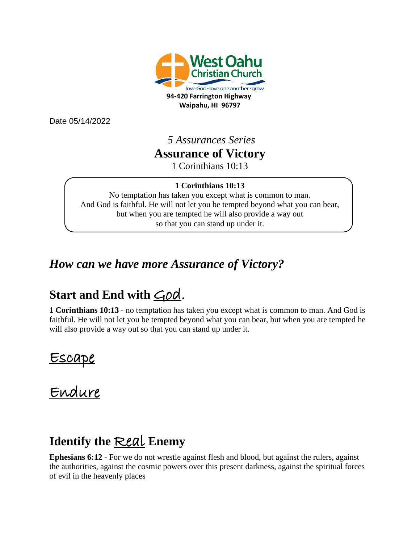

Date 05/14/2022

#### *5 Assurances Series* **Assurance of Victory** 1 Corinthians 10:13

#### **1 Corinthians 10:13**

No temptation has taken you except what is common to man. And God is faithful. He will not let you be tempted beyond what you can bear, but when you are tempted he will also provide a way out so that you can stand up under it.

### *How can we have more Assurance of Victory?*

## Start and End with  $\leq_{\text{O}}\alpha$ .

**1 Corinthians 10:13** - no temptation has taken you except what is common to man. And God is faithful. He will not let you be tempted beyond what you can bear, but when you are tempted he will also provide a way out so that you can stand up under it.

Escape

Endure

### **Identify the** Real **Enemy**

**Ephesians 6:12** - For we do not wrestle against flesh and blood, but against the rulers, against the authorities, against the cosmic powers over this present darkness, against the spiritual forces of evil in the heavenly places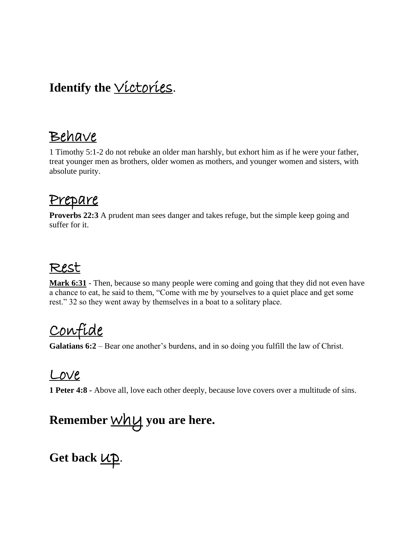# Identify the *Victories*.

# Behave

1 Timothy 5:1-2 do not rebuke an older man harshly, but exhort him as if he were your father, treat younger men as brothers, older women as mothers, and younger women and sisters, with absolute purity.

### Prepare

**Proverbs 22:3** A prudent man sees danger and takes refuge, but the simple keep going and suffer for it.

### Rest

**Mark 6:31** - Then, because so many people were coming and going that they did not even have a chance to eat, he said to them, "Come with me by yourselves to a quiet place and get some rest." 32 so they went away by themselves in a boat to a solitary place.

# Confide

**Galatians 6:2** – Bear one another's burdens, and in so doing you fulfill the law of Christ.

### Love

**1 Peter 4:8 -** Above all, love each other deeply, because love covers over a multitude of sins.

# **Remember** why **you are here.**

Get back  $UP$ .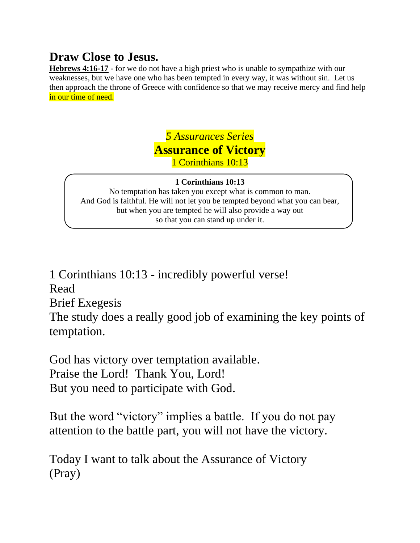### **Draw Close to Jesus.**

**Hebrews 4:16-17** - for we do not have a high priest who is unable to sympathize with our weaknesses, but we have one who has been tempted in every way, it was without sin. Let us then approach the throne of Greece with confidence so that we may receive mercy and find help in our time of need.

> *5 Assurances Series* **Assurance of Victory** 1 Corinthians 10:13

#### **1 Corinthians 10:13**

No temptation has taken you except what is common to man. And God is faithful. He will not let you be tempted beyond what you can bear, but when you are tempted he will also provide a way out so that you can stand up under it.

1 Corinthians 10:13 - incredibly powerful verse! Read Brief Exegesis The study does a really good job of examining the key points of temptation.

God has victory over temptation available. Praise the Lord! Thank You, Lord! But you need to participate with God.

But the word "victory" implies a battle. If you do not pay attention to the battle part, you will not have the victory.

Today I want to talk about the Assurance of Victory (Pray)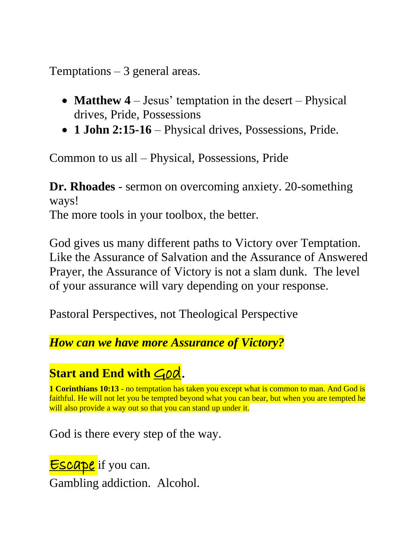Temptations  $-3$  general areas.

- **Matthew 4** Jesus' temptation in the desert Physical drives, Pride, Possessions
- **1 John 2:15-16** Physical drives, Possessions, Pride.

Common to us all – Physical, Possessions, Pride

**Dr. Rhoades** - sermon on overcoming anxiety. 20-something ways! The more tools in your toolbox, the better.

God gives us many different paths to Victory over Temptation. Like the Assurance of Salvation and the Assurance of Answered Prayer, the Assurance of Victory is not a slam dunk. The level of your assurance will vary depending on your response.

Pastoral Perspectives, not Theological Perspective

*How can we have more Assurance of Victory?*

## **Start and End with God.**

**1 Corinthians 10:13** - no temptation has taken you except what is common to man. And God is faithful. He will not let you be tempted beyond what you can bear, but when you are tempted he will also provide a way out so that you can stand up under it.

God is there every step of the way.

**Escape** if you can. Gambling addiction. Alcohol.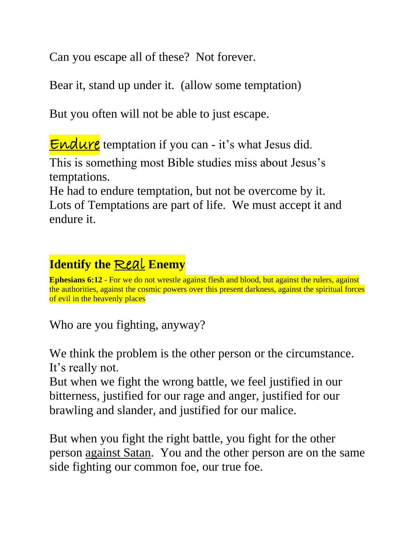Can you escape all of these? Not forever.

Bear it, stand up under it. (allow some temptation)

But you often will not be able to just escape.

**Endure** temptation if you can - it's what Jesus did.

This is something most Bible studies miss about Jesus's temptations.

He had to endure temptation, but not be overcome by it. Lots of Temptations are part of life. We must accept it and endure it.

## **Identify the** Real **Enemy**

**Ephesians 6:12** - For we do not wrestle against flesh and blood, but against the rulers, against the authorities, against the cosmic powers over this present darkness, against the spiritual forces of evil in the heavenly places

Who are you fighting, anyway?

We think the problem is the other person or the circumstance. It's really not.

But when we fight the wrong battle, we feel justified in our bitterness, justified for our rage and anger, justified for our brawling and slander, and justified for our malice.

But when you fight the right battle, you fight for the other person against Satan. You and the other person are on the same side fighting our common foe, our true foe.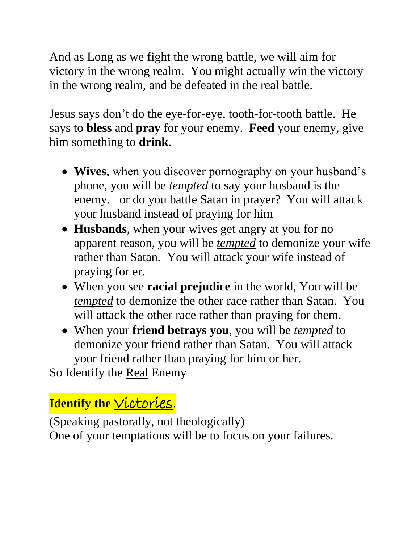And as Long as we fight the wrong battle, we will aim for victory in the wrong realm. You might actually win the victory in the wrong realm, and be defeated in the real battle.

Jesus says don't do the eye-for-eye, tooth-for-tooth battle. He says to **bless** and **pray** for your enemy. **Feed** your enemy, give him something to **drink**.

- **Wives**, when you discover pornography on your husband's phone, you will be *tempted* to say your husband is the enemy. or do you battle Satan in prayer? You will attack your husband instead of praying for him
- **Husbands**, when your wives get angry at you for no apparent reason, you will be *tempted* to demonize your wife rather than Satan. You will attack your wife instead of praying for er.
- When you see **racial prejudice** in the world, You will be *tempted* to demonize the other race rather than Satan. You will attack the other race rather than praying for them.
- When your **friend betrays you**, you will be *tempted* to demonize your friend rather than Satan. You will attack your friend rather than praying for him or her.

So Identify the Real Enemy

# **Identify the Victories.**

(Speaking pastorally, not theologically) One of your temptations will be to focus on your failures.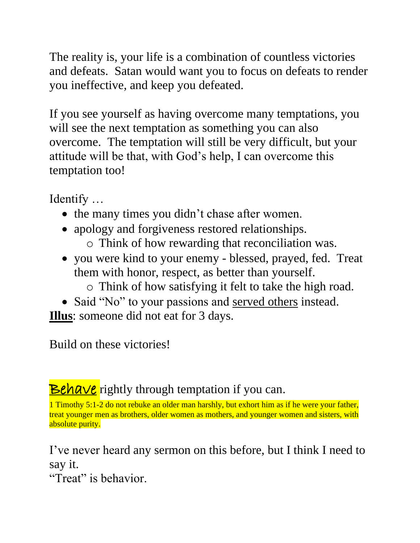The reality is, your life is a combination of countless victories and defeats. Satan would want you to focus on defeats to render you ineffective, and keep you defeated.

If you see yourself as having overcome many temptations, you will see the next temptation as something you can also overcome. The temptation will still be very difficult, but your attitude will be that, with God's help, I can overcome this temptation too!

Identify …

- the many times you didn't chase after women.
- apology and forgiveness restored relationships.
	- o Think of how rewarding that reconciliation was.
- you were kind to your enemy blessed, prayed, fed. Treat them with honor, respect, as better than yourself.
	- o Think of how satisfying it felt to take the high road.
- Said "No" to your passions and served others instead. **Illus**: someone did not eat for 3 days.

Build on these victories!

**Behave** rightly through temptation if you can.

1 Timothy 5:1-2 do not rebuke an older man harshly, but exhort him as if he were your father, treat younger men as brothers, older women as mothers, and younger women and sisters, with absolute purity.

I've never heard any sermon on this before, but I think I need to say it.

"Treat" is behavior.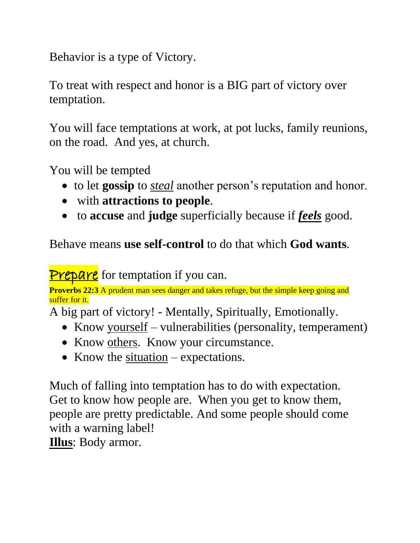Behavior is a type of Victory.

To treat with respect and honor is a BIG part of victory over temptation.

You will face temptations at work, at pot lucks, family reunions, on the road. And yes, at church.

You will be tempted

- to let **gossip** to *steal* another person's reputation and honor.
- with **attractions to people**.
- to **accuse** and **judge** superficially because if *feels* good.

Behave means **use self-control** to do that which **God wants**.

**Prepare** for temptation if you can.

**Proverbs 22:3** A prudent man sees danger and takes refuge, but the simple keep going and suffer for it.

A big part of victory! - Mentally, Spiritually, Emotionally.

- Know yourself vulnerabilities (personality, temperament)
- Know others. Know your circumstance.
- Know the  $situation$  expectations.

Much of falling into temptation has to do with expectation. Get to know how people are. When you get to know them, people are pretty predictable. And some people should come with a warning label!

**Illus**: Body armor.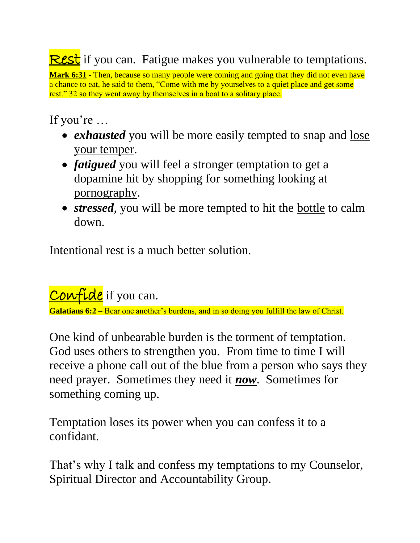**Rest** if you can. Fatigue makes you vulnerable to temptations.

**Mark 6:31** - Then, because so many people were coming and going that they did not even have a chance to eat, he said to them, "Come with me by yourselves to a quiet place and get some rest." 32 so they went away by themselves in a boat to a solitary place.

If you're …

- *exhausted* you will be more easily tempted to snap and lose your temper.
- *fatigued* you will feel a stronger temptation to get a dopamine hit by shopping for something looking at pornography.
- *stressed*, you will be more tempted to hit the bottle to calm down.

Intentional rest is a much better solution.

Confide if you can.

**Galatians 6:2** – Bear one another's burdens, and in so doing you fulfill the law of Christ.

One kind of unbearable burden is the torment of temptation. God uses others to strengthen you. From time to time I will receive a phone call out of the blue from a person who says they need prayer. Sometimes they need it *now*. Sometimes for something coming up.

Temptation loses its power when you can confess it to a confidant.

That's why I talk and confess my temptations to my Counselor, Spiritual Director and Accountability Group.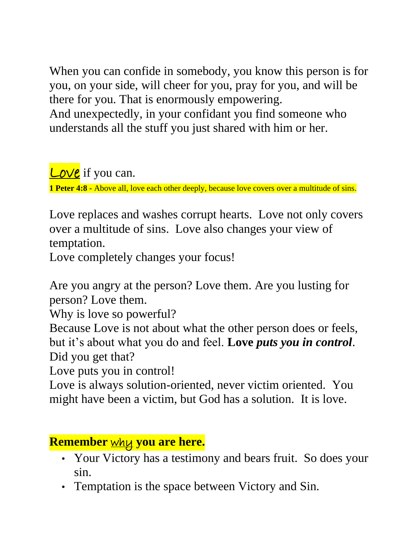When you can confide in somebody, you know this person is for you, on your side, will cheer for you, pray for you, and will be there for you. That is enormously empowering. And unexpectedly, in your confidant you find someone who understands all the stuff you just shared with him or her.

**Love** if you can. **1 Peter 4:8 -** Above all, love each other deeply, because love covers over a multitude of sins.

Love replaces and washes corrupt hearts. Love not only covers over a multitude of sins. Love also changes your view of temptation.

Love completely changes your focus!

Are you angry at the person? Love them. Are you lusting for person? Love them.

Why is love so powerful?

Because Love is not about what the other person does or feels, but it's about what you do and feel. **Love** *puts you in control*. Did you get that?

Love puts you in control!

Love is always solution-oriented, never victim oriented. You might have been a victim, but God has a solution. It is love.

**Remember** why **you are here.**

- Your Victory has a testimony and bears fruit. So does your sin.
- Temptation is the space between Victory and Sin.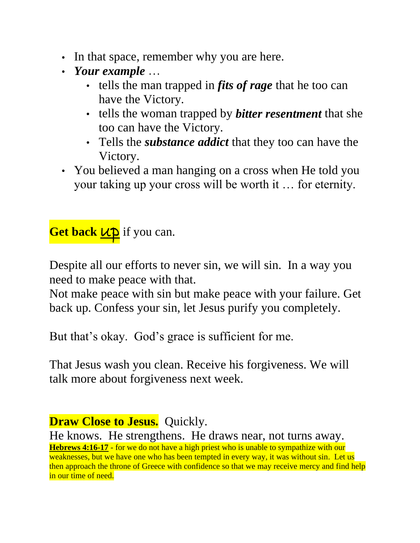- In that space, remember why you are here.
- *Your example* …
	- tells the man trapped in *fits of rage* that he too can have the Victory.
	- tells the woman trapped by *bitter resentment* that she too can have the Victory.
	- Tells the *substance addict* that they too can have the Victory.
- You believed a man hanging on a cross when He told you your taking up your cross will be worth it … for eternity.

**Get back**  $\mu p$  if you can.

Despite all our efforts to never sin, we will sin. In a way you need to make peace with that.

Not make peace with sin but make peace with your failure. Get back up. Confess your sin, let Jesus purify you completely.

But that's okay. God's grace is sufficient for me.

That Jesus wash you clean. Receive his forgiveness. We will talk more about forgiveness next week.

He knows. He strengthens. He draws near, not turns away. **Hebrews 4:16-17** - for we do not have a high priest who is unable to sympathize with our weaknesses, but we have one who has been tempted in every way, it was without sin. Let us then approach the throne of Greece with confidence so that we may receive mercy and find help in our time of need.

**Draw Close to Jesus.** Quickly.